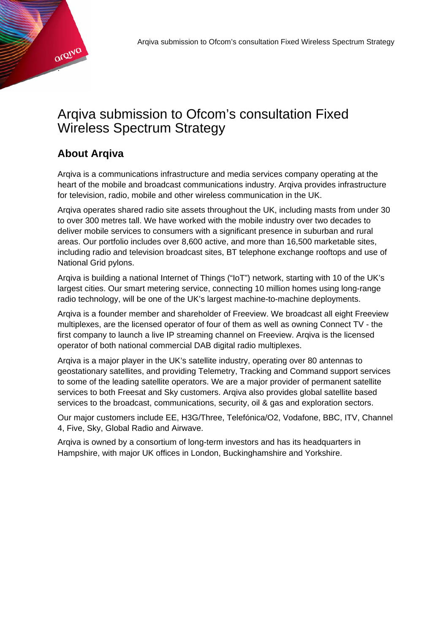

# Arqiva submission to Ofcom's consultation Fixed Wireless Spectrum Strategy

## **About Arqiva**

Arqiva is a communications infrastructure and media services company operating at the heart of the mobile and broadcast communications industry. Arqiva provides infrastructure for television, radio, mobile and other wireless communication in the UK.

Arqiva operates shared radio site assets throughout the UK, including masts from under 30 to over 300 metres tall. We have worked with the mobile industry over two decades to deliver mobile services to consumers with a significant presence in suburban and rural areas. Our portfolio includes over 8,600 active, and more than 16,500 marketable sites, including radio and television broadcast sites, BT telephone exchange rooftops and use of National Grid pylons.

Arqiva is building a national Internet of Things ("IoT") network, starting with 10 of the UK's largest cities. Our smart metering service, connecting 10 million homes using long-range radio technology, will be one of the UK's largest machine-to-machine deployments.

Arqiva is a founder member and shareholder of Freeview. We broadcast all eight Freeview multiplexes, are the licensed operator of four of them as well as owning Connect TV - the first company to launch a live IP streaming channel on Freeview. Arqiva is the licensed operator of both national commercial DAB digital radio multiplexes.

Arqiva is a major player in the UK's satellite industry, operating over 80 antennas to geostationary satellites, and providing Telemetry, Tracking and Command support services to some of the leading satellite operators. We are a major provider of permanent satellite services to both Freesat and Sky customers. Arqiva also provides global satellite based services to the broadcast, communications, security, oil & gas and exploration sectors.

Our major customers include EE, H3G/Three, Telefónica/O2, Vodafone, BBC, ITV, Channel 4, Five, Sky, Global Radio and Airwave.

Arqiva is owned by a consortium of long-term investors and has its headquarters in Hampshire, with major UK offices in London, Buckinghamshire and Yorkshire.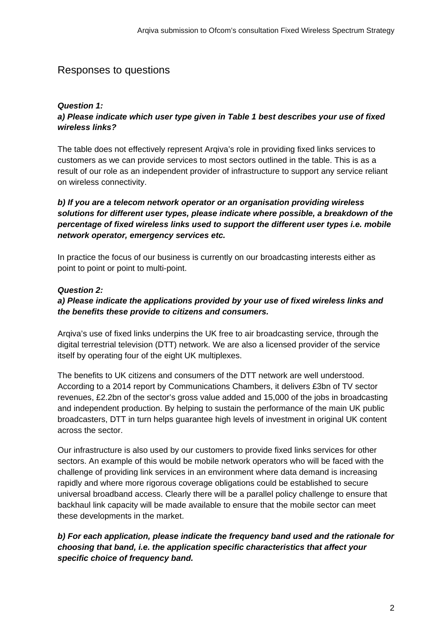## Responses to questions

## *Question 1:*

## *a) Please indicate which user type given in Table 1 best describes your use of fixed wireless links?*

The table does not effectively represent Arqiva's role in providing fixed links services to customers as we can provide services to most sectors outlined in the table. This is as a result of our role as an independent provider of infrastructure to support any service reliant on wireless connectivity.

#### *b) If you are a telecom network operator or an organisation providing wireless solutions for different user types, please indicate where possible, a breakdown of the percentage of fixed wireless links used to support the different user types i.e. mobile network operator, emergency services etc.*

In practice the focus of our business is currently on our broadcasting interests either as point to point or point to multi-point.

#### *Question 2:*

#### *a) Please indicate the applications provided by your use of fixed wireless links and the benefits these provide to citizens and consumers.*

Arqiva's use of fixed links underpins the UK free to air broadcasting service, through the digital terrestrial television (DTT) network. We are also a licensed provider of the service itself by operating four of the eight UK multiplexes.

The benefits to UK citizens and consumers of the DTT network are well understood. According to a 2014 report by Communications Chambers, it delivers £3bn of TV sector revenues, £2.2bn of the sector's gross value added and 15,000 of the jobs in broadcasting and independent production. By helping to sustain the performance of the main UK public broadcasters, DTT in turn helps guarantee high levels of investment in original UK content across the sector.

Our infrastructure is also used by our customers to provide fixed links services for other sectors. An example of this would be mobile network operators who will be faced with the challenge of providing link services in an environment where data demand is increasing rapidly and where more rigorous coverage obligations could be established to secure universal broadband access. Clearly there will be a parallel policy challenge to ensure that backhaul link capacity will be made available to ensure that the mobile sector can meet these developments in the market.

## *b) For each application, please indicate the frequency band used and the rationale for choosing that band, i.e. the application specific characteristics that affect your specific choice of frequency band.*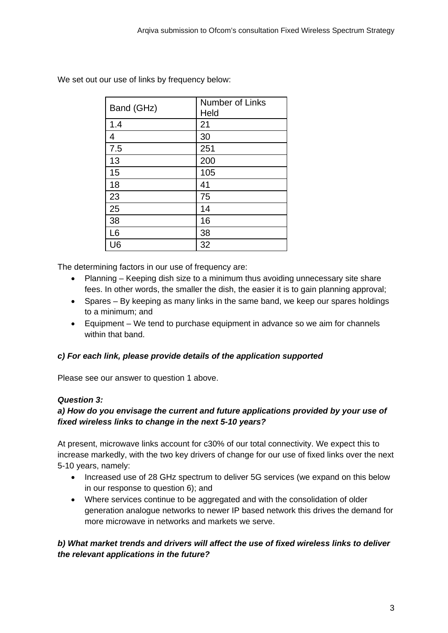| Band (GHz)     | Number of Links<br>Held |
|----------------|-------------------------|
| 1.4            | 21                      |
| 4              | 30                      |
| 7.5            | 251                     |
| 13             | 200                     |
| 15             | 105                     |
| 18             | 41                      |
| 23             | 75                      |
| 25             | 14                      |
| 38             | 16                      |
| L <sub>6</sub> | 38                      |
| U6             | 32                      |

We set out our use of links by frequency below:

The determining factors in our use of frequency are:

- Planning Keeping dish size to a minimum thus avoiding unnecessary site share fees. In other words, the smaller the dish, the easier it is to gain planning approval;
- Spares By keeping as many links in the same band, we keep our spares holdings to a minimum; and
- Equipment We tend to purchase equipment in advance so we aim for channels within that band.

## *c) For each link, please provide details of the application supported*

Please see our answer to question 1 above.

#### *Question 3:*

## *a) How do you envisage the current and future applications provided by your use of fixed wireless links to change in the next 5-10 years?*

At present, microwave links account for c30% of our total connectivity. We expect this to increase markedly, with the two key drivers of change for our use of fixed links over the next 5-10 years, namely:

- Increased use of 28 GHz spectrum to deliver 5G services (we expand on this below in our response to question 6); and
- Where services continue to be aggregated and with the consolidation of older generation analogue networks to newer IP based network this drives the demand for more microwave in networks and markets we serve.

## *b) What market trends and drivers will affect the use of fixed wireless links to deliver the relevant applications in the future?*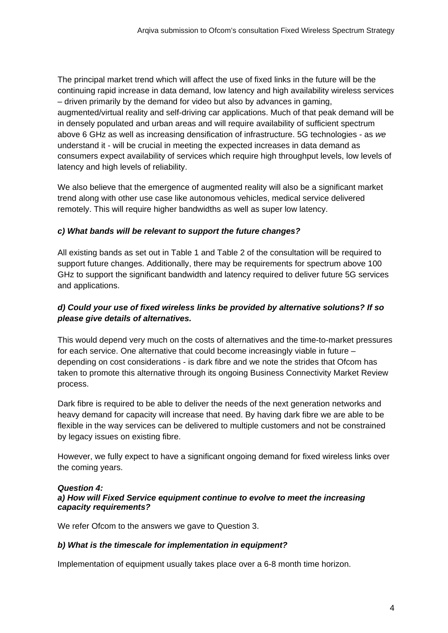The principal market trend which will affect the use of fixed links in the future will be the continuing rapid increase in data demand, low latency and high availability wireless services – driven primarily by the demand for video but also by advances in gaming, augmented/virtual reality and self-driving car applications. Much of that peak demand will be in densely populated and urban areas and will require availability of sufficient spectrum above 6 GHz as well as increasing densification of infrastructure. 5G technologies - as *we* understand it - will be crucial in meeting the expected increases in data demand as consumers expect availability of services which require high throughput levels, low levels of latency and high levels of reliability.

We also believe that the emergence of augmented reality will also be a significant market trend along with other use case like autonomous vehicles, medical service delivered remotely. This will require higher bandwidths as well as super low latency.

#### *c) What bands will be relevant to support the future changes?*

All existing bands as set out in Table 1 and Table 2 of the consultation will be required to support future changes. Additionally, there may be requirements for spectrum above 100 GHz to support the significant bandwidth and latency required to deliver future 5G services and applications.

#### *d) Could your use of fixed wireless links be provided by alternative solutions? If so please give details of alternatives.*

This would depend very much on the costs of alternatives and the time-to-market pressures for each service. One alternative that could become increasingly viable in future – depending on cost considerations - is dark fibre and we note the strides that Ofcom has taken to promote this alternative through its ongoing Business Connectivity Market Review process.

Dark fibre is required to be able to deliver the needs of the next generation networks and heavy demand for capacity will increase that need. By having dark fibre we are able to be flexible in the way services can be delivered to multiple customers and not be constrained by legacy issues on existing fibre.

However, we fully expect to have a significant ongoing demand for fixed wireless links over the coming years.

#### *Question 4:*

#### *a) How will Fixed Service equipment continue to evolve to meet the increasing capacity requirements?*

We refer Ofcom to the answers we gave to Question 3.

#### *b) What is the timescale for implementation in equipment?*

Implementation of equipment usually takes place over a 6-8 month time horizon.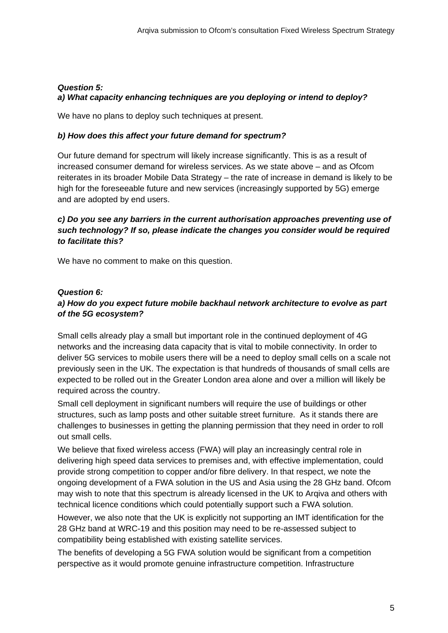#### *Question 5: a) What capacity enhancing techniques are you deploying or intend to deploy?*

We have no plans to deploy such techniques at present.

#### *b) How does this affect your future demand for spectrum?*

Our future demand for spectrum will likely increase significantly. This is as a result of increased consumer demand for wireless services. As we state above – and as Ofcom reiterates in its broader Mobile Data Strategy – the rate of increase in demand is likely to be high for the foreseeable future and new services (increasingly supported by 5G) emerge and are adopted by end users.

#### *c) Do you see any barriers in the current authorisation approaches preventing use of such technology? If so, please indicate the changes you consider would be required to facilitate this?*

We have no comment to make on this question.

#### *Question 6:*

## *a) How do you expect future mobile backhaul network architecture to evolve as part of the 5G ecosystem?*

Small cells already play a small but important role in the continued deployment of 4G networks and the increasing data capacity that is vital to mobile connectivity. In order to deliver 5G services to mobile users there will be a need to deploy small cells on a scale not previously seen in the UK. The expectation is that hundreds of thousands of small cells are expected to be rolled out in the Greater London area alone and over a million will likely be required across the country.

Small cell deployment in significant numbers will require the use of buildings or other structures, such as lamp posts and other suitable street furniture. As it stands there are challenges to businesses in getting the planning permission that they need in order to roll out small cells.

We believe that fixed wireless access (FWA) will play an increasingly central role in delivering high speed data services to premises and, with effective implementation, could provide strong competition to copper and/or fibre delivery. In that respect, we note the ongoing development of a FWA solution in the US and Asia using the 28 GHz band. Ofcom may wish to note that this spectrum is already licensed in the UK to Arqiva and others with technical licence conditions which could potentially support such a FWA solution.

However, we also note that the UK is explicitly not supporting an IMT identification for the 28 GHz band at WRC-19 and this position may need to be re-assessed subject to compatibility being established with existing satellite services.

The benefits of developing a 5G FWA solution would be significant from a competition perspective as it would promote genuine infrastructure competition. Infrastructure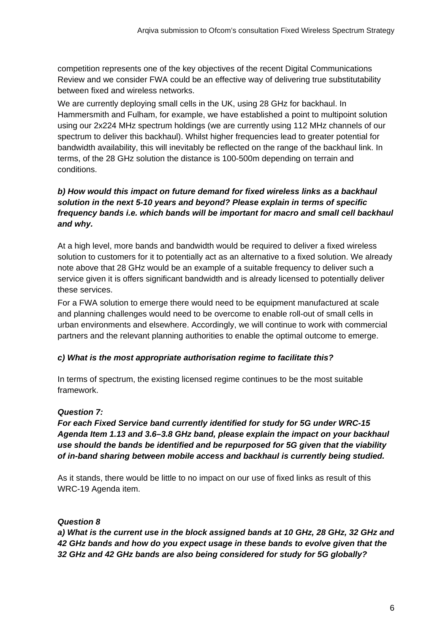competition represents one of the key objectives of the recent Digital Communications Review and we consider FWA could be an effective way of delivering true substitutability between fixed and wireless networks.

We are currently deploying small cells in the UK, using 28 GHz for backhaul. In Hammersmith and Fulham, for example, we have established a point to multipoint solution using our 2x224 MHz spectrum holdings (we are currently using 112 MHz channels of our spectrum to deliver this backhaul). Whilst higher frequencies lead to greater potential for bandwidth availability, this will inevitably be reflected on the range of the backhaul link. In terms, of the 28 GHz solution the distance is 100-500m depending on terrain and conditions.

## *b) How would this impact on future demand for fixed wireless links as a backhaul solution in the next 5-10 years and beyond? Please explain in terms of specific frequency bands i.e. which bands will be important for macro and small cell backhaul and why.*

At a high level, more bands and bandwidth would be required to deliver a fixed wireless solution to customers for it to potentially act as an alternative to a fixed solution. We already note above that 28 GHz would be an example of a suitable frequency to deliver such a service given it is offers significant bandwidth and is already licensed to potentially deliver these services.

For a FWA solution to emerge there would need to be equipment manufactured at scale and planning challenges would need to be overcome to enable roll-out of small cells in urban environments and elsewhere. Accordingly, we will continue to work with commercial partners and the relevant planning authorities to enable the optimal outcome to emerge.

#### *c) What is the most appropriate authorisation regime to facilitate this?*

In terms of spectrum, the existing licensed regime continues to be the most suitable framework.

#### *Question 7:*

*For each Fixed Service band currently identified for study for 5G under WRC-15 Agenda Item 1.13 and 3.6–3.8 GHz band, please explain the impact on your backhaul use should the bands be identified and be repurposed for 5G given that the viability of in-band sharing between mobile access and backhaul is currently being studied.* 

As it stands, there would be little to no impact on our use of fixed links as result of this WRC-19 Agenda item.

#### *Question 8*

*a) What is the current use in the block assigned bands at 10 GHz, 28 GHz, 32 GHz and 42 GHz bands and how do you expect usage in these bands to evolve given that the 32 GHz and 42 GHz bands are also being considered for study for 5G globally?*